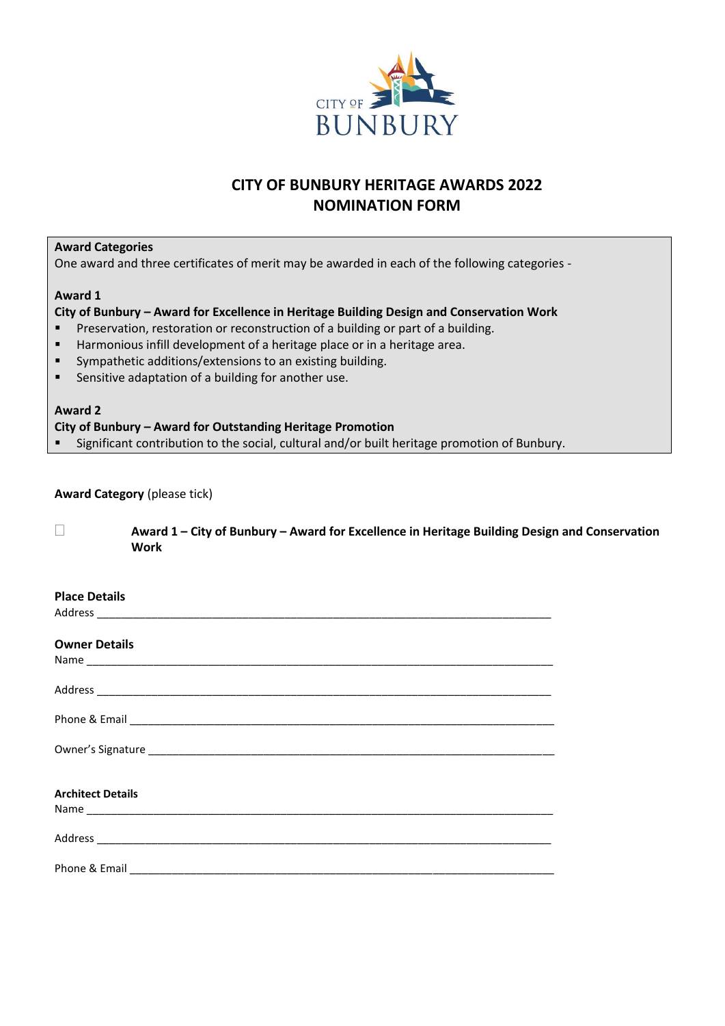

# **CITY OF BUNBURY HERITAGE AWARDS 2022 NOMINATION FORM**

# **Award Categories**

One award and three certificates of merit may be awarded in each of the following categories -

### **Award 1**

# **City of Bunbury – Award for Excellence in Heritage Building Design and Conservation Work**

- **EXECT:** Preservation, restoration or reconstruction of a building or part of a building.
- Harmonious infill development of a heritage place or in a heritage area.
- Sympathetic additions/extensions to an existing building.
- Sensitive adaptation of a building for another use.

## **Award 2**

### **City of Bunbury – Award for Outstanding Heritage Promotion**

■ Significant contribution to the social, cultural and/or built heritage promotion of Bunbury.

# **Award Category** (please tick)

 **Award 1 – City of Bunbury – Award for Excellence in Heritage Building Design and Conservation Work**

### **Place Details**

Address \_\_\_\_\_\_\_\_\_\_\_\_\_\_\_\_\_\_\_\_\_\_\_\_\_\_\_\_\_\_\_\_\_\_\_\_\_\_\_\_\_\_\_\_\_\_\_\_\_\_\_\_\_\_\_\_\_\_\_\_\_\_\_\_\_\_\_\_\_\_\_\_\_\_\_

### **Owner Details**

| <b>Architect Details</b> |  |
|--------------------------|--|
|                          |  |
|                          |  |
|                          |  |
|                          |  |
| Phone & Email            |  |